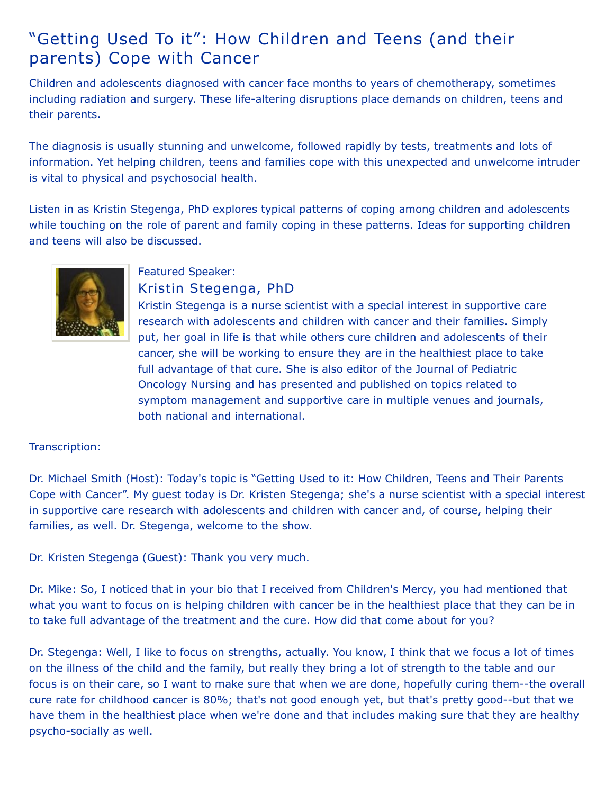## "Getting Used To it": How Children and Teens (and their parents) Cope with Cancer

Children and adolescents diagnosed with cancer face months to years of chemotherapy, sometimes including radiation and surgery. These life-altering disruptions place demands on children, teens and their parents.

The diagnosis is usually stunning and unwelcome, followed rapidly by tests, treatments and lots of information. Yet helping children, teens and families cope with this unexpected and unwelcome intruder is vital to physical and psychosocial health.

Listen in as Kristin Stegenga, PhD explores typical patterns of coping among children and adolescents while touching on the role of parent and family coping in these patterns. Ideas for supporting children and teens will also be discussed.



## Featured Speaker: Kristin Stegenga, PhD

Kristin Stegenga is a nurse scientist with a special interest in supportive care research with adolescents and children with cancer and their families. Simply put, her goal in life is that while others cure children and adolescents of their cancer, she will be working to ensure they are in the healthiest place to take full advantage of that cure. She is also editor of the Journal of Pediatric Oncology Nursing and has presented and published on topics related to symptom management and supportive care in multiple venues and journals, both national and international.

## Transcription:

Dr. Michael Smith (Host): Today's topic is "Getting Used to it: How Children, Teens and Their Parents Cope with Cancer". My guest today is Dr. Kristen Stegenga; she's a nurse scientist with a special interest in supportive care research with adolescents and children with cancer and, of course, helping their families, as well. Dr. Stegenga, welcome to the show.

Dr. Kristen Stegenga (Guest): Thank you very much.

Dr. Mike: So, I noticed that in your bio that I received from Children's Mercy, you had mentioned that what you want to focus on is helping children with cancer be in the healthiest place that they can be in to take full advantage of the treatment and the cure. How did that come about for you?

Dr. Stegenga: Well, I like to focus on strengths, actually. You know, I think that we focus a lot of times on the illness of the child and the family, but really they bring a lot of strength to the table and our focus is on their care, so I want to make sure that when we are done, hopefully curing them--the overall cure rate for childhood cancer is 80%; that's not good enough yet, but that's pretty good--but that we have them in the healthiest place when we're done and that includes making sure that they are healthy psycho-socially as well.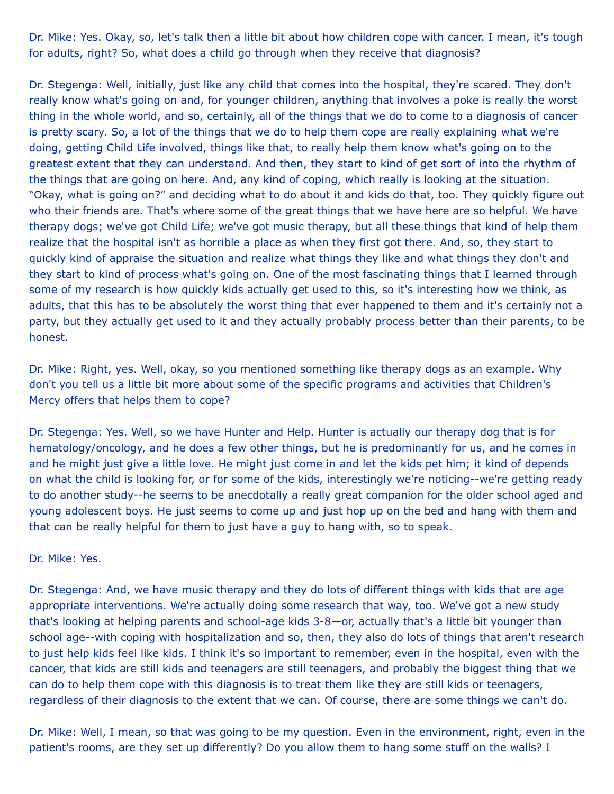Dr. Mike: Yes. Okay, so, let's talk then a little bit about how children cope with cancer. I mean, it's tough for adults, right? So, what does a child go through when they receive that diagnosis?

Dr. Stegenga: Well, initially, just like any child that comes into the hospital, they're scared. They don't really know what's going on and, for younger children, anything that involves a poke is really the worst thing in the whole world, and so, certainly, all of the things that we do to come to a diagnosis of cancer is pretty scary. So, a lot of the things that we do to help them cope are really explaining what we're doing, getting Child Life involved, things like that, to really help them know what's going on to the greatest extent that they can understand. And then, they start to kind of get sort of into the rhythm of the things that are going on here. And, any kind of coping, which really is looking at the situation. "Okay, what is going on?" and deciding what to do about it and kids do that, too. They quickly figure out who their friends are. That's where some of the great things that we have here are so helpful. We have therapy dogs; we've got Child Life; we've got music therapy, but all these things that kind of help them realize that the hospital isn't as horrible a place as when they first got there. And, so, they start to quickly kind of appraise the situation and realize what things they like and what things they don't and they start to kind of process what's going on. One of the most fascinating things that I learned through some of my research is how quickly kids actually get used to this, so it's interesting how we think, as adults, that this has to be absolutely the worst thing that ever happened to them and it's certainly not a party, but they actually get used to it and they actually probably process better than their parents, to be honest.

Dr. Mike: Right, yes. Well, okay, so you mentioned something like therapy dogs as an example. Why don't you tell us a little bit more about some of the specific programs and activities that Children's Mercy offers that helps them to cope?

Dr. Stegenga: Yes. Well, so we have Hunter and Help. Hunter is actually our therapy dog that is for hematology/oncology, and he does a few other things, but he is predominantly for us, and he comes in and he might just give a little love. He might just come in and let the kids pet him; it kind of depends on what the child is looking for, or for some of the kids, interestingly we're noticing--we're getting ready to do another study--he seems to be anecdotally a really great companion for the older school aged and young adolescent boys. He just seems to come up and just hop up on the bed and hang with them and that can be really helpful for them to just have a guy to hang with, so to speak.

Dr. Mike: Yes.

Dr. Stegenga: And, we have music therapy and they do lots of different things with kids that are age appropriate interventions. We're actually doing some research that way, too. We've got a new study that's looking at helping parents and school-age kids 3-8—or, actually that's a little bit younger than school age--with coping with hospitalization and so, then, they also do lots of things that aren't research to just help kids feel like kids. I think it's so important to remember, even in the hospital, even with the cancer, that kids are still kids and teenagers are still teenagers, and probably the biggest thing that we can do to help them cope with this diagnosis is to treat them like they are still kids or teenagers, regardless of their diagnosis to the extent that we can. Of course, there are some things we can't do.

Dr. Mike: Well, I mean, so that was going to be my question. Even in the environment, right, even in the patient's rooms, are they set up differently? Do you allow them to hang some stuff on the walls? I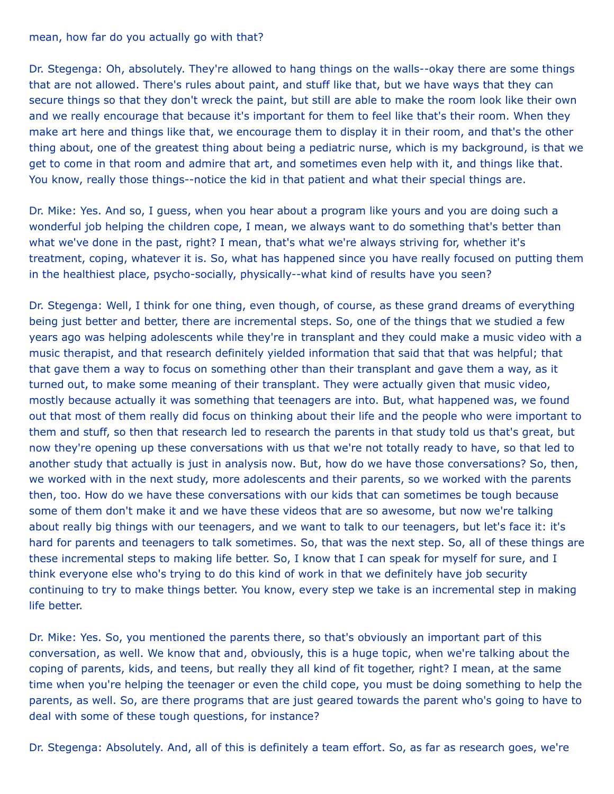## mean, how far do you actually go with that?

Dr. Stegenga: Oh, absolutely. They're allowed to hang things on the walls--okay there are some things that are not allowed. There's rules about paint, and stuff like that, but we have ways that they can secure things so that they don't wreck the paint, but still are able to make the room look like their own and we really encourage that because it's important for them to feel like that's their room. When they make art here and things like that, we encourage them to display it in their room, and that's the other thing about, one of the greatest thing about being a pediatric nurse, which is my background, is that we get to come in that room and admire that art, and sometimes even help with it, and things like that. You know, really those things--notice the kid in that patient and what their special things are.

Dr. Mike: Yes. And so, I guess, when you hear about a program like yours and you are doing such a wonderful job helping the children cope, I mean, we always want to do something that's better than what we've done in the past, right? I mean, that's what we're always striving for, whether it's treatment, coping, whatever it is. So, what has happened since you have really focused on putting them in the healthiest place, psycho-socially, physically--what kind of results have you seen?

Dr. Stegenga: Well, I think for one thing, even though, of course, as these grand dreams of everything being just better and better, there are incremental steps. So, one of the things that we studied a few years ago was helping adolescents while they're in transplant and they could make a music video with a music therapist, and that research definitely yielded information that said that that was helpful; that that gave them a way to focus on something other than their transplant and gave them a way, as it turned out, to make some meaning of their transplant. They were actually given that music video, mostly because actually it was something that teenagers are into. But, what happened was, we found out that most of them really did focus on thinking about their life and the people who were important to them and stuff, so then that research led to research the parents in that study told us that's great, but now they're opening up these conversations with us that we're not totally ready to have, so that led to another study that actually is just in analysis now. But, how do we have those conversations? So, then, we worked with in the next study, more adolescents and their parents, so we worked with the parents then, too. How do we have these conversations with our kids that can sometimes be tough because some of them don't make it and we have these videos that are so awesome, but now we're talking about really big things with our teenagers, and we want to talk to our teenagers, but let's face it: it's hard for parents and teenagers to talk sometimes. So, that was the next step. So, all of these things are these incremental steps to making life better. So, I know that I can speak for myself for sure, and I think everyone else who's trying to do this kind of work in that we definitely have job security continuing to try to make things better. You know, every step we take is an incremental step in making life better.

Dr. Mike: Yes. So, you mentioned the parents there, so that's obviously an important part of this conversation, as well. We know that and, obviously, this is a huge topic, when we're talking about the coping of parents, kids, and teens, but really they all kind of fit together, right? I mean, at the same time when you're helping the teenager or even the child cope, you must be doing something to help the parents, as well. So, are there programs that are just geared towards the parent who's going to have to deal with some of these tough questions, for instance?

Dr. Stegenga: Absolutely. And, all of this is definitely a team effort. So, as far as research goes, we're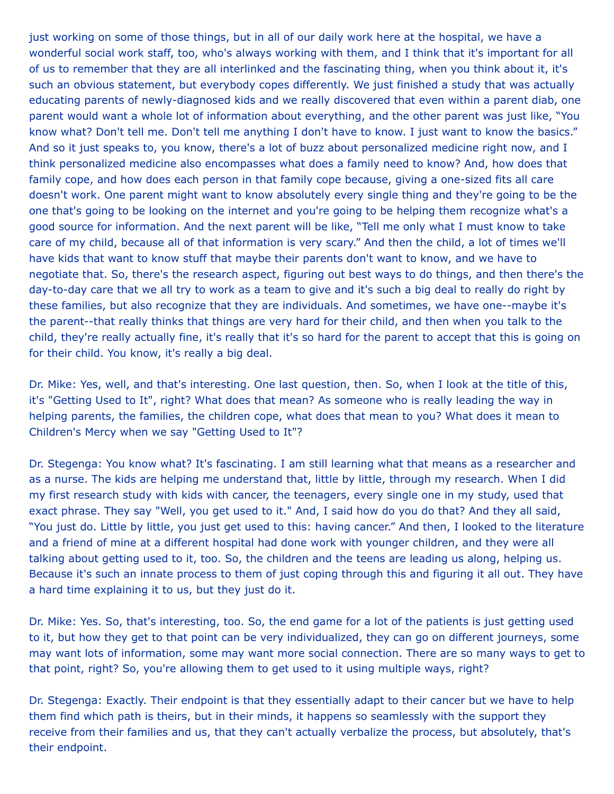just working on some of those things, but in all of our daily work here at the hospital, we have a wonderful social work staff, too, who's always working with them, and I think that it's important for all of us to remember that they are all interlinked and the fascinating thing, when you think about it, it's such an obvious statement, but everybody copes differently. We just finished a study that was actually educating parents of newly-diagnosed kids and we really discovered that even within a parent diab, one parent would want a whole lot of information about everything, and the other parent was just like, "You know what? Don't tell me. Don't tell me anything I don't have to know. I just want to know the basics." And so it just speaks to, you know, there's a lot of buzz about personalized medicine right now, and I think personalized medicine also encompasses what does a family need to know? And, how does that family cope, and how does each person in that family cope because, giving a one-sized fits all care doesn't work. One parent might want to know absolutely every single thing and they're going to be the one that's going to be looking on the internet and you're going to be helping them recognize what's a good source for information. And the next parent will be like, "Tell me only what I must know to take care of my child, because all of that information is very scary." And then the child, a lot of times we'll have kids that want to know stuff that maybe their parents don't want to know, and we have to negotiate that. So, there's the research aspect, figuring out best ways to do things, and then there's the day-to-day care that we all try to work as a team to give and it's such a big deal to really do right by these families, but also recognize that they are individuals. And sometimes, we have one--maybe it's the parent--that really thinks that things are very hard for their child, and then when you talk to the child, they're really actually fine, it's really that it's so hard for the parent to accept that this is going on for their child. You know, it's really a big deal.

Dr. Mike: Yes, well, and that's interesting. One last question, then. So, when I look at the title of this, it's "Getting Used to It", right? What does that mean? As someone who is really leading the way in helping parents, the families, the children cope, what does that mean to you? What does it mean to Children's Mercy when we say "Getting Used to It"?

Dr. Stegenga: You know what? It's fascinating. I am still learning what that means as a researcher and as a nurse. The kids are helping me understand that, little by little, through my research. When I did my first research study with kids with cancer, the teenagers, every single one in my study, used that exact phrase. They say "Well, you get used to it." And, I said how do you do that? And they all said, "You just do. Little by little, you just get used to this: having cancer." And then, I looked to the literature and a friend of mine at a different hospital had done work with younger children, and they were all talking about getting used to it, too. So, the children and the teens are leading us along, helping us. Because it's such an innate process to them of just coping through this and figuring it all out. They have a hard time explaining it to us, but they just do it.

Dr. Mike: Yes. So, that's interesting, too. So, the end game for a lot of the patients is just getting used to it, but how they get to that point can be very individualized, they can go on different journeys, some may want lots of information, some may want more social connection. There are so many ways to get to that point, right? So, you're allowing them to get used to it using multiple ways, right?

Dr. Stegenga: Exactly. Their endpoint is that they essentially adapt to their cancer but we have to help them find which path is theirs, but in their minds, it happens so seamlessly with the support they receive from their families and us, that they can't actually verbalize the process, but absolutely, that's their endpoint.